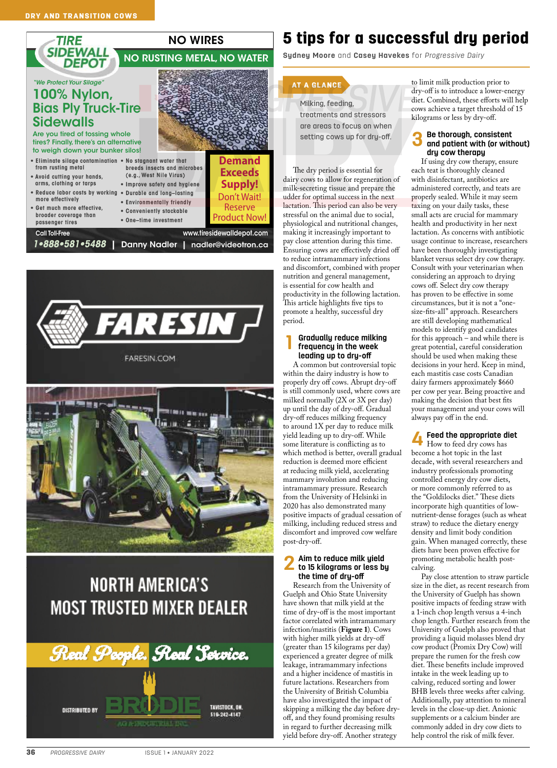



# **NORTH AMERICA'S MOST TRUSTED MIXER DEALER**



## 5 tips for a successful dry period

**Sydney Moore** and **Casey Havekes** for *Progressive Dairy*

#### AT A GLANCE

Milking, feeding, treatments and stressors

are areas to focus on when setting cows up for dry-off.

The dry period is essential for dairy cows to allow for regeneration of milk-secreting tissue and prepare the udder for optimal success in the next lactation. This period can also be very stressful on the animal due to social, physiological and nutritional changes, making it increasingly important to pay close attention during this time. Ensuring cows are effectively dried off to reduce intramammary infections and discomfort, combined with proper nutrition and general management, is essential for cow health and productivity in the following lactation. This article highlights five tips to promote a healthy, successful dry period.

### **1 Gradually reduce milking frequency in the week leading up to dry-off**

A common but controversial topic within the dairy industry is how to properly dry off cows. Abrupt dry-off is still commonly used, where cows are milked normally (2X or 3X per day) up until the day of dry-off. Gradual dry-off reduces milking frequency to around 1X per day to reduce milk yield leading up to dry-off. While some literature is conflicting as to which method is better, overall gradual reduction is deemed more efficient at reducing milk yield, accelerating mammary involution and reducing intramammary pressure. Research from the University of Helsinki in 2020 has also demonstrated many positive impacts of gradual cessation of milking, including reduced stress and discomfort and improved cow welfare post-dry-off.

#### **2 Aim to reduce milk yield to 15 kilograms or less by the time of dry-off**

Research from the University of Guelph and Ohio State University have shown that milk yield at the time of dry-off is the most important factor correlated with intramammary infection/mastitis (**Figure 1**). Cows with higher milk yields at dry-off (greater than 15 kilograms per day) experienced a greater degree of milk leakage, intramammary infections and a higher incidence of mastitis in future lactations. Researchers from the University of British Columbia have also investigated the impact of skipping a milking the day before dryoff, and they found promising results in regard to further decreasing milk yield before dry-off. Another strategy

to limit milk production prior to dry-off is to introduce a lower-energy diet. Combined, these efforts will help cows achieve a target threshold of 15 kilograms or less by dry-off.

## **3 Be thorough, consistent and patient with (or without) dry cow therapy**

If using dry cow therapy, ensure each teat is thoroughly cleaned with disinfectant, antibiotics are administered correctly, and teats are properly sealed. While it may seem taxing on your daily tasks, these small acts are crucial for mammary health and productivity in her next lactation. As concerns with antibiotic usage continue to increase, researchers have been thoroughly investigating blanket versus select dry cow therapy. Consult with your veterinarian when considering an approach to drying cows off. Select dry cow therapy has proven to be effective in some circumstances, but it is not a "onesize-fits-all" approach. Researchers are still developing mathematical models to identify good candidates for this approach – and while there is great potential, careful consideration should be used when making these decisions in your herd. Keep in mind, each mastitis case costs Canadian dairy farmers approximately \$660 per cow per year. Being proactive and making the decision that best fits your management and your cows will always pay off in the end.

**4 Feed the appropriate diet** How to feed dry cows has become a hot topic in the last decade, with several researchers and industry professionals promoting controlled energy dry cow diets, or more commonly referred to as the "Goldilocks diet." These diets incorporate high quantities of lownutrient-dense forages (such as wheat straw) to reduce the dietary energy density and limit body condition gain. When managed correctly, these diets have been proven effective for promoting metabolic health postcalving.

Pay close attention to straw particle size in the diet, as recent research from the University of Guelph has shown positive impacts of feeding straw with a 1-inch chop length versus a 4-inch chop length. Further research from the University of Guelph also proved that providing a liquid molasses blend dry cow product (Promix Dry Cow) will prepare the rumen for the fresh cow diet. These benefits include improved intake in the week leading up to calving, reduced sorting and lower BHB levels three weeks after calving. Additionally, pay attention to mineral levels in the close-up diet. Anionic supplements or a calcium binder are commonly added in dry cow diets to help control the risk of milk fever.